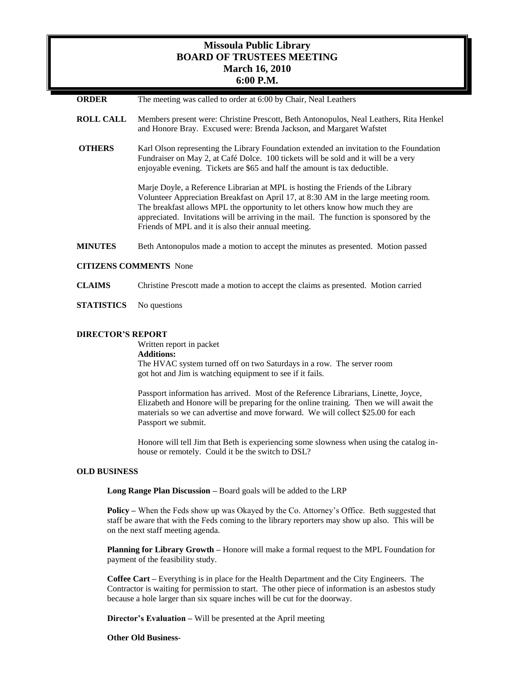# **Missoula Public Library BOARD OF TRUSTEES MEETING March 16, 2010 6:00 P.M.**

- **ORDER** The meeting was called to order at 6:00 by Chair, Neal Leathers
- **ROLL CALL** Members present were: Christine Prescott, Beth Antonopulos, Neal Leathers, Rita Henkel and Honore Bray. Excused were: Brenda Jackson, and Margaret Wafstet
- **OTHERS** Karl Olson representing the Library Foundation extended an invitation to the Foundation Fundraiser on May 2, at Café Dolce. 100 tickets will be sold and it will be a very enjoyable evening. Tickets are \$65 and half the amount is tax deductible.

Marje Doyle, a Reference Librarian at MPL is hosting the Friends of the Library Volunteer Appreciation Breakfast on April 17, at 8:30 AM in the large meeting room. The breakfast allows MPL the opportunity to let others know how much they are appreciated. Invitations will be arriving in the mail. The function is sponsored by the Friends of MPL and it is also their annual meeting.

**MINUTES** Beth Antonopulos made a motion to accept the minutes as presented. Motion passed

### **CITIZENS COMMENTS** None

- **CLAIMS** Christine Prescott made a motion to accept the claims as presented. Motion carried
- **STATISTICS** No questions

#### **DIRECTOR'S REPORT**

Written report in packet **Additions:**  The HVAC system turned off on two Saturdays in a row. The server room got hot and Jim is watching equipment to see if it fails.

Passport information has arrived. Most of the Reference Librarians, Linette, Joyce, Elizabeth and Honore will be preparing for the online training. Then we will await the materials so we can advertise and move forward. We will collect \$25.00 for each Passport we submit.

Honore will tell Jim that Beth is experiencing some slowness when using the catalog inhouse or remotely. Could it be the switch to DSL?

#### **OLD BUSINESS**

**Long Range Plan Discussion –** Board goals will be added to the LRP

**Policy –** When the Feds show up was Okayed by the Co. Attorney's Office. Beth suggested that staff be aware that with the Feds coming to the library reporters may show up also. This will be on the next staff meeting agenda.

**Planning for Library Growth –** Honore will make a formal request to the MPL Foundation for payment of the feasibility study.

**Coffee Cart –** Everything is in place for the Health Department and the City Engineers. The Contractor is waiting for permission to start. The other piece of information is an asbestos study because a hole larger than six square inches will be cut for the doorway.

**Director's Evaluation –** Will be presented at the April meeting

#### **Other Old Business**-